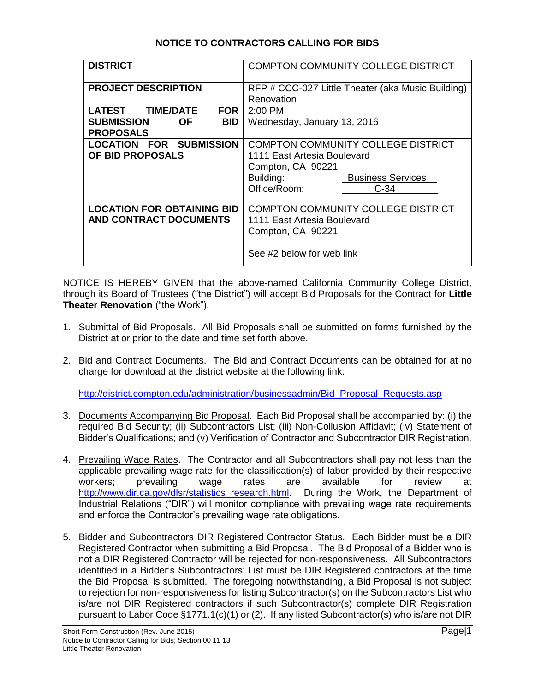## **NOTICE TO CONTRACTORS CALLING FOR BIDS**

| <b>DISTRICT</b>                                 | <b>COMPTON COMMUNITY COLLEGE DISTRICT</b>         |
|-------------------------------------------------|---------------------------------------------------|
| <b>PROJECT DESCRIPTION</b>                      | RFP # CCC-027 Little Theater (aka Music Building) |
|                                                 | Renovation                                        |
| <b>TIME/DATE</b><br><b>LATEST</b><br><b>FOR</b> | $2:00$ PM                                         |
| <b>SUBMISSION</b><br><b>BID</b><br><b>OF</b>    | Wednesday, January 13, 2016                       |
| <b>PROPOSALS</b>                                |                                                   |
| <b>LOCATION FOR SUBMISSION</b>                  | <b>COMPTON COMMUNITY COLLEGE DISTRICT</b>         |
| <b>OF BID PROPOSALS</b>                         | 1111 East Artesia Boulevard                       |
|                                                 | Compton, CA 90221                                 |
|                                                 | <b>Business Services</b><br>Building:             |
|                                                 | Office/Room:<br>C-34                              |
|                                                 |                                                   |
| <b>LOCATION FOR OBTAINING BID</b>               | <b>COMPTON COMMUNITY COLLEGE DISTRICT</b>         |
| <b>AND CONTRACT DOCUMENTS</b>                   | 1111 East Artesia Boulevard                       |
|                                                 | Compton, CA 90221                                 |
|                                                 | See #2 below for web link                         |

NOTICE IS HEREBY GIVEN that the above-named California Community College District, through its Board of Trustees ("the District") will accept Bid Proposals for the Contract for **Little Theater Renovation** ("the Work").

- 1. Submittal of Bid Proposals. All Bid Proposals shall be submitted on forms furnished by the District at or prior to the date and time set forth above.
- 2. Bid and Contract Documents. The Bid and Contract Documents can be obtained for at no charge for download at the district website at the following link:

[http://district.compton.edu/administration/businessadmin/Bid\\_Proposal\\_Requests.asp](http://district.compton.edu/administration/businessadmin/Bid_Proposal_Requests.asp)

- 3. Documents Accompanying Bid Proposal. Each Bid Proposal shall be accompanied by: (i) the required Bid Security; (ii) Subcontractors List; (iii) Non-Collusion Affidavit; (iv) Statement of Bidder's Qualifications; and (v) Verification of Contractor and Subcontractor DIR Registration.
- 4. Prevailing Wage Rates. The Contractor and all Subcontractors shall pay not less than the applicable prevailing wage rate for the classification(s) of labor provided by their respective<br>workers: prevailing wage rates are available for review at workers; prevailing wage rates are available for review at [http://www.dir.ca.gov/dlsr/statistics\\_research.html.](http://www.dir.ca.gov/dlsr/statistics_research.html) During the Work, the Department of Industrial Relations ("DIR") will monitor compliance with prevailing wage rate requirements and enforce the Contractor's prevailing wage rate obligations.
- 5. Bidder and Subcontractors DIR Registered Contractor Status. Each Bidder must be a DIR Registered Contractor when submitting a Bid Proposal. The Bid Proposal of a Bidder who is not a DIR Registered Contractor will be rejected for non-responsiveness. All Subcontractors identified in a Bidder's Subcontractors' List must be DIR Registered contractors at the time the Bid Proposal is submitted. The foregoing notwithstanding, a Bid Proposal is not subject to rejection for non-responsiveness for listing Subcontractor(s) on the Subcontractors List who is/are not DIR Registered contractors if such Subcontractor(s) complete DIR Registration pursuant to Labor Code §1771.1(c)(1) or (2). If any listed Subcontractor(s) who is/are not DIR